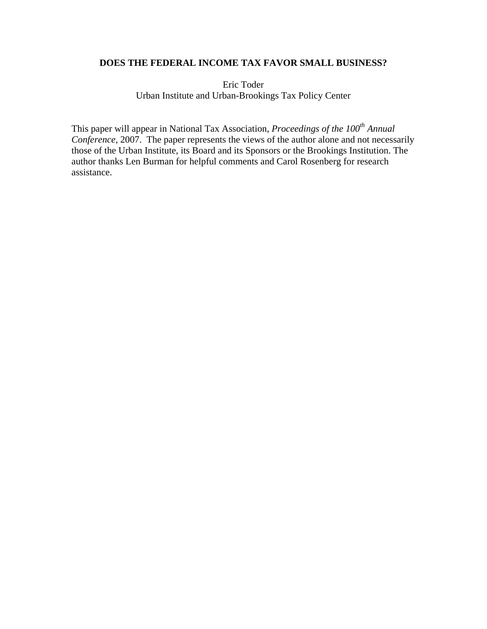# **DOES THE FEDERAL INCOME TAX FAVOR SMALL BUSINESS?**

Eric Toder Urban Institute and Urban-Brookings Tax Policy Center

This paper will appear in National Tax Association, *Proceedings of the 100<sup>th</sup> Annual Conference,* 2007. The paper represents the views of the author alone and not necessarily those of the Urban Institute, its Board and its Sponsors or the Brookings Institution. The author thanks Len Burman for helpful comments and Carol Rosenberg for research assistance.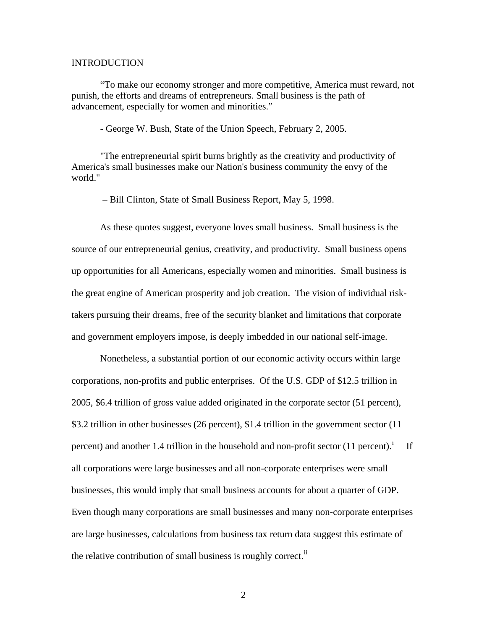## INTRODUCTION

"To make our economy stronger and more competitive, America must reward, not punish, the efforts and dreams of entrepreneurs. Small business is the path of advancement, especially for women and minorities."

- George W. Bush, State of the Union Speech, February 2, 2005.

"The entrepreneurial spirit burns brightly as the creativity and productivity of America's small businesses make our Nation's business community the envy of the world."

– Bill Clinton, State of Small Business Report, May 5, 1998.

As these quotes suggest, everyone loves small business. Small business is the source of our entrepreneurial genius, creativity, and productivity. Small business opens up opportunities for all Americans, especially women and minorities. Small business is the great engine of American prosperity and job creation. The vision of individual risktakers pursuing their dreams, free of the security blanket and limitations that corporate and government employers impose, is deeply imbedded in our national self-image.

Nonetheless, a substantial portion of our economic activity occurs within large corporations, non-profits and public enterprises. Of the U.S. GDP of \$12.5 trillion in 2005, \$6.4 trillion of gross value added originated in the corporate sector (51 percent), \$3.2 trillion in other businesses (26 percent), \$1.4 trillion in the government sector (11 percent) and another 1.4 tr[i](#page-18-0)llion in the household and non-profit sector  $(11$  percent).<sup>i</sup> If all corporations were large businesses and all non-corporate enterprises were small businesses, this would imply that small business accounts for about a quarter of GDP. Even though many corporations are small businesses and many non-corporate enterprises are large businesses, calculations from business tax return data suggest this estimate of the relative contribution of small business is roughly correct.<sup>[ii](#page-18-1)</sup>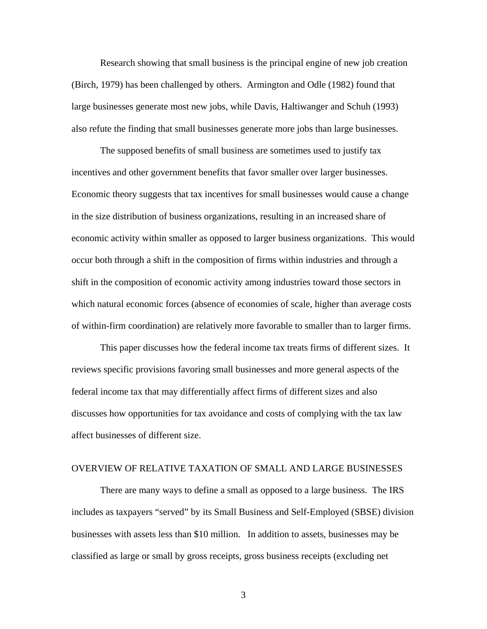Research showing that small business is the principal engine of new job creation (Birch, 1979) has been challenged by others. Armington and Odle (1982) found that large businesses generate most new jobs, while Davis, Haltiwanger and Schuh (1993) also refute the finding that small businesses generate more jobs than large businesses.

 The supposed benefits of small business are sometimes used to justify tax incentives and other government benefits that favor smaller over larger businesses. Economic theory suggests that tax incentives for small businesses would cause a change in the size distribution of business organizations, resulting in an increased share of economic activity within smaller as opposed to larger business organizations. This would occur both through a shift in the composition of firms within industries and through a shift in the composition of economic activity among industries toward those sectors in which natural economic forces (absence of economies of scale, higher than average costs of within-firm coordination) are relatively more favorable to smaller than to larger firms.

 This paper discusses how the federal income tax treats firms of different sizes. It reviews specific provisions favoring small businesses and more general aspects of the federal income tax that may differentially affect firms of different sizes and also discusses how opportunities for tax avoidance and costs of complying with the tax law affect businesses of different size.

## OVERVIEW OF RELATIVE TAXATION OF SMALL AND LARGE BUSINESSES

 There are many ways to define a small as opposed to a large business. The IRS includes as taxpayers "served" by its Small Business and Self-Employed (SBSE) division businesses with assets less than \$10 million. In addition to assets, businesses may be classified as large or small by gross receipts, gross business receipts (excluding net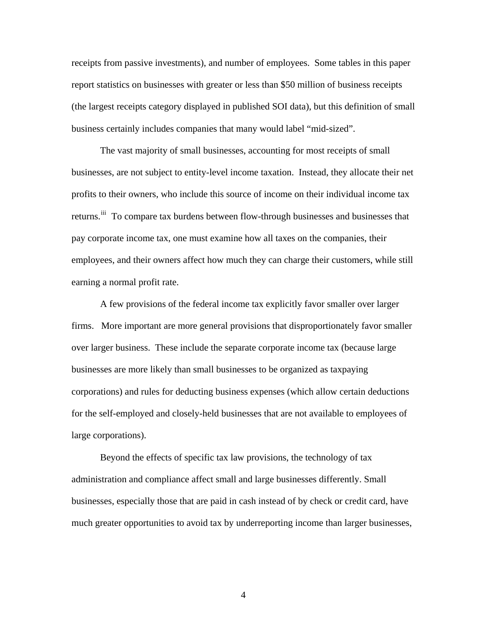receipts from passive investments), and number of employees. Some tables in this paper report statistics on businesses with greater or less than \$50 million of business receipts (the largest receipts category displayed in published SOI data), but this definition of small business certainly includes companies that many would label "mid-sized".

 The vast majority of small businesses, accounting for most receipts of small businesses, are not subject to entity-level income taxation. Instead, they allocate their net profits to their owners, who include this source of income on their individual income tax returns.<sup>[iii](#page-18-1)</sup> To compare tax burdens between flow-through businesses and businesses that pay corporate income tax, one must examine how all taxes on the companies, their employees, and their owners affect how much they can charge their customers, while still earning a normal profit rate.

 A few provisions of the federal income tax explicitly favor smaller over larger firms. More important are more general provisions that disproportionately favor smaller over larger business. These include the separate corporate income tax (because large businesses are more likely than small businesses to be organized as taxpaying corporations) and rules for deducting business expenses (which allow certain deductions for the self-employed and closely-held businesses that are not available to employees of large corporations).

 Beyond the effects of specific tax law provisions, the technology of tax administration and compliance affect small and large businesses differently. Small businesses, especially those that are paid in cash instead of by check or credit card, have much greater opportunities to avoid tax by underreporting income than larger businesses,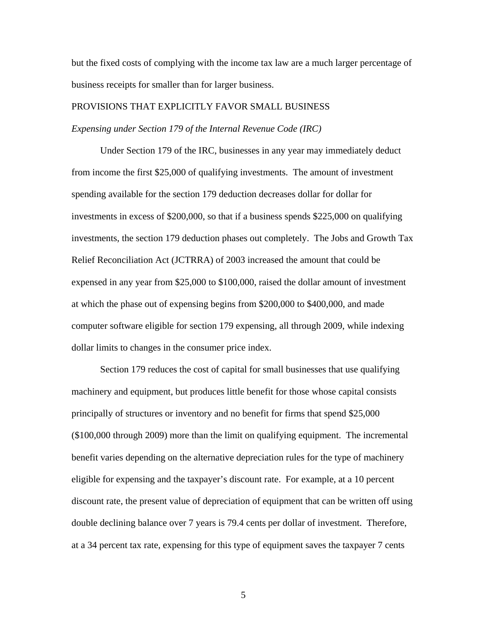but the fixed costs of complying with the income tax law are a much larger percentage of business receipts for smaller than for larger business.

# PROVISIONS THAT EXPLICITLY FAVOR SMALL BUSINESS

## *Expensing under Section 179 of the Internal Revenue Code (IRC)*

 Under Section 179 of the IRC, businesses in any year may immediately deduct from income the first \$25,000 of qualifying investments. The amount of investment spending available for the section 179 deduction decreases dollar for dollar for investments in excess of \$200,000, so that if a business spends \$225,000 on qualifying investments, the section 179 deduction phases out completely. The Jobs and Growth Tax Relief Reconciliation Act (JCTRRA) of 2003 increased the amount that could be expensed in any year from \$25,000 to \$100,000, raised the dollar amount of investment at which the phase out of expensing begins from \$200,000 to \$400,000, and made computer software eligible for section 179 expensing, all through 2009, while indexing dollar limits to changes in the consumer price index.

 Section 179 reduces the cost of capital for small businesses that use qualifying machinery and equipment, but produces little benefit for those whose capital consists principally of structures or inventory and no benefit for firms that spend \$25,000 (\$100,000 through 2009) more than the limit on qualifying equipment. The incremental benefit varies depending on the alternative depreciation rules for the type of machinery eligible for expensing and the taxpayer's discount rate. For example, at a 10 percent discount rate, the present value of depreciation of equipment that can be written off using double declining balance over 7 years is 79.4 cents per dollar of investment. Therefore, at a 34 percent tax rate, expensing for this type of equipment saves the taxpayer 7 cents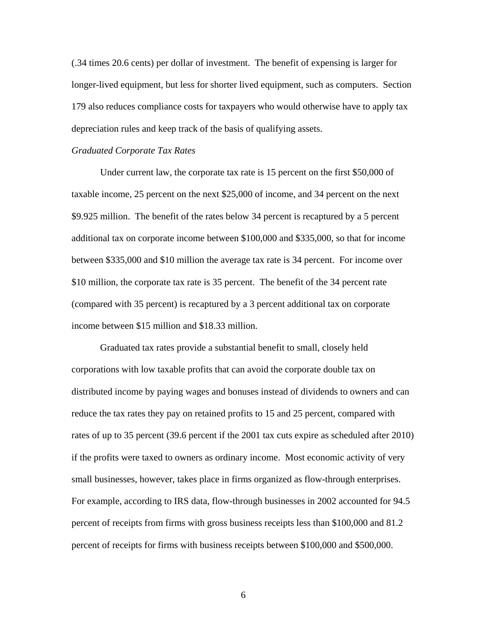(.34 times 20.6 cents) per dollar of investment. The benefit of expensing is larger for longer-lived equipment, but less for shorter lived equipment, such as computers. Section 179 also reduces compliance costs for taxpayers who would otherwise have to apply tax depreciation rules and keep track of the basis of qualifying assets.

#### *Graduated Corporate Tax Rates*

 Under current law, the corporate tax rate is 15 percent on the first \$50,000 of taxable income, 25 percent on the next \$25,000 of income, and 34 percent on the next \$9.925 million. The benefit of the rates below 34 percent is recaptured by a 5 percent additional tax on corporate income between \$100,000 and \$335,000, so that for income between \$335,000 and \$10 million the average tax rate is 34 percent. For income over \$10 million, the corporate tax rate is 35 percent. The benefit of the 34 percent rate (compared with 35 percent) is recaptured by a 3 percent additional tax on corporate income between \$15 million and \$18.33 million.

 Graduated tax rates provide a substantial benefit to small, closely held corporations with low taxable profits that can avoid the corporate double tax on distributed income by paying wages and bonuses instead of dividends to owners and can reduce the tax rates they pay on retained profits to 15 and 25 percent, compared with rates of up to 35 percent (39.6 percent if the 2001 tax cuts expire as scheduled after 2010) if the profits were taxed to owners as ordinary income. Most economic activity of very small businesses, however, takes place in firms organized as flow-through enterprises. For example, according to IRS data, flow-through businesses in 2002 accounted for 94.5 percent of receipts from firms with gross business receipts less than \$100,000 and 81.2 percent of receipts for firms with business receipts between \$100,000 and \$500,000.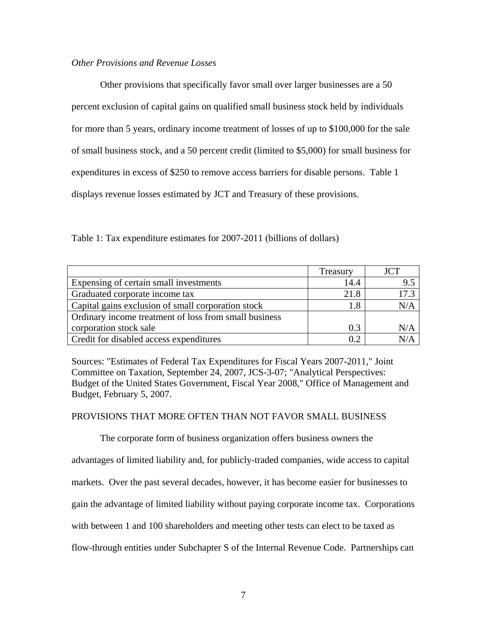## *Other Provisions and Revenue Losses*

 Other provisions that specifically favor small over larger businesses are a 50 percent exclusion of capital gains on qualified small business stock held by individuals for more than 5 years, ordinary income treatment of losses of up to \$100,000 for the sale of small business stock, and a 50 percent credit (limited to \$5,000) for small business for expenditures in excess of \$250 to remove access barriers for disable persons. Table 1 displays revenue losses estimated by JCT and Treasury of these provisions.

Table 1: Tax expenditure estimates for 2007-2011 (billions of dollars)

|                                                       | Treasury | <b>JCT</b> |
|-------------------------------------------------------|----------|------------|
| Expensing of certain small investments                | 14.4     | 9.5        |
| Graduated corporate income tax                        | 21.8     | 17.3       |
| Capital gains exclusion of small corporation stock    | 1.8      | N/A        |
| Ordinary income treatment of loss from small business |          |            |
| corporation stock sale                                | 0.3      |            |
| Credit for disabled access expenditures               | 02       |            |

Sources: "Estimates of Federal Tax Expenditures for Fiscal Years 2007-2011," Joint Committee on Taxation, September 24, 2007, JCS-3-07; "Analytical Perspectives: Budget of the United States Government, Fiscal Year 2008," Office of Management and Budget, February 5, 2007.

# PROVISIONS THAT MORE OFTEN THAN NOT FAVOR SMALL BUSINESS

 The corporate form of business organization offers business owners the advantages of limited liability and, for publicly-traded companies, wide access to capital markets. Over the past several decades, however, it has become easier for businesses to gain the advantage of limited liability without paying corporate income tax. Corporations with between 1 and 100 shareholders and meeting other tests can elect to be taxed as flow-through entities under Subchapter S of the Internal Revenue Code. Partnerships can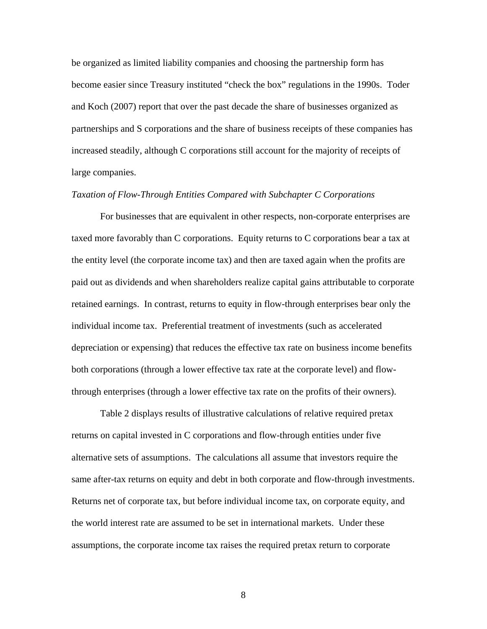be organized as limited liability companies and choosing the partnership form has become easier since Treasury instituted "check the box" regulations in the 1990s. Toder and Koch (2007) report that over the past decade the share of businesses organized as partnerships and S corporations and the share of business receipts of these companies has increased steadily, although C corporations still account for the majority of receipts of large companies.

### *Taxation of Flow-Through Entities Compared with Subchapter C Corporations*

 For businesses that are equivalent in other respects, non-corporate enterprises are taxed more favorably than C corporations. Equity returns to C corporations bear a tax at the entity level (the corporate income tax) and then are taxed again when the profits are paid out as dividends and when shareholders realize capital gains attributable to corporate retained earnings. In contrast, returns to equity in flow-through enterprises bear only the individual income tax. Preferential treatment of investments (such as accelerated depreciation or expensing) that reduces the effective tax rate on business income benefits both corporations (through a lower effective tax rate at the corporate level) and flowthrough enterprises (through a lower effective tax rate on the profits of their owners).

 Table 2 displays results of illustrative calculations of relative required pretax returns on capital invested in C corporations and flow-through entities under five alternative sets of assumptions. The calculations all assume that investors require the same after-tax returns on equity and debt in both corporate and flow-through investments. Returns net of corporate tax, but before individual income tax, on corporate equity, and the world interest rate are assumed to be set in international markets. Under these assumptions, the corporate income tax raises the required pretax return to corporate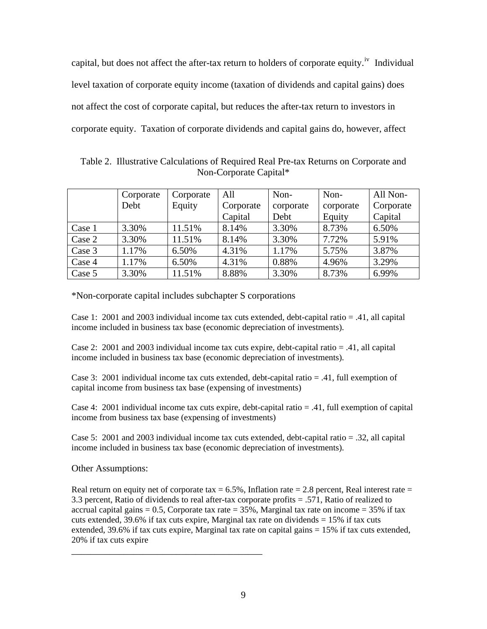capital, but does not affect the after-tax return to holders of corporate equity.<sup>[iv](#page-18-1)</sup> Individual level taxation of corporate equity income (taxation of dividends and capital gains) does not affect the cost of corporate capital, but reduces the after-tax return to investors in corporate equity. Taxation of corporate dividends and capital gains do, however, affect

Table 2. Illustrative Calculations of Required Real Pre-tax Returns on Corporate and Non-Corporate Capital\*

|        | Corporate | Corporate | All       | Non-      | Non-      | All Non-  |
|--------|-----------|-----------|-----------|-----------|-----------|-----------|
|        | Debt      | Equity    | Corporate | corporate | corporate | Corporate |
|        |           |           | Capital   | Debt      | Equity    | Capital   |
| Case 1 | 3.30%     | 11.51%    | 8.14%     | 3.30%     | 8.73%     | 6.50%     |
| Case 2 | 3.30%     | 11.51%    | 8.14%     | 3.30%     | 7.72%     | 5.91%     |
| Case 3 | 1.17%     | 6.50%     | 4.31%     | 1.17%     | 5.75%     | 3.87%     |
| Case 4 | 1.17%     | 6.50%     | 4.31%     | 0.88%     | 4.96%     | 3.29%     |
| Case 5 | 3.30%     | 11.51%    | 8.88%     | 3.30%     | 8.73%     | 6.99%     |

\*Non-corporate capital includes subchapter S corporations

\_\_\_\_\_\_\_\_\_\_\_\_\_\_\_\_\_\_\_\_\_\_\_\_\_\_\_\_\_\_\_\_\_\_\_\_\_\_\_\_

Case 1: 2001 and 2003 individual income tax cuts extended, debt-capital ratio = .41, all capital income included in business tax base (economic depreciation of investments).

Case 2: 2001 and 2003 individual income tax cuts expire, debt-capital ratio = .41, all capital income included in business tax base (economic depreciation of investments).

Case 3: 2001 individual income tax cuts extended, debt-capital ratio = .41, full exemption of capital income from business tax base (expensing of investments)

Case 4: 2001 individual income tax cuts expire, debt-capital ratio = .41, full exemption of capital income from business tax base (expensing of investments)

Case 5: 2001 and 2003 individual income tax cuts extended, debt-capital ratio = .32, all capital income included in business tax base (economic depreciation of investments).

Other Assumptions:

Real return on equity net of corporate tax  $= 6.5\%$ , Inflation rate  $= 2.8$  percent, Real interest rate  $=$ 3.3 percent, Ratio of dividends to real after-tax corporate profits = .571, Ratio of realized to accrual capital gains  $= 0.5$ , Corporate tax rate  $= 35\%$ , Marginal tax rate on income  $= 35\%$  if tax cuts extended, 39.6% if tax cuts expire, Marginal tax rate on dividends  $= 15%$  if tax cuts extended,  $39.6\%$  if tax cuts expire, Marginal tax rate on capital gains  $= 15\%$  if tax cuts extended, 20% if tax cuts expire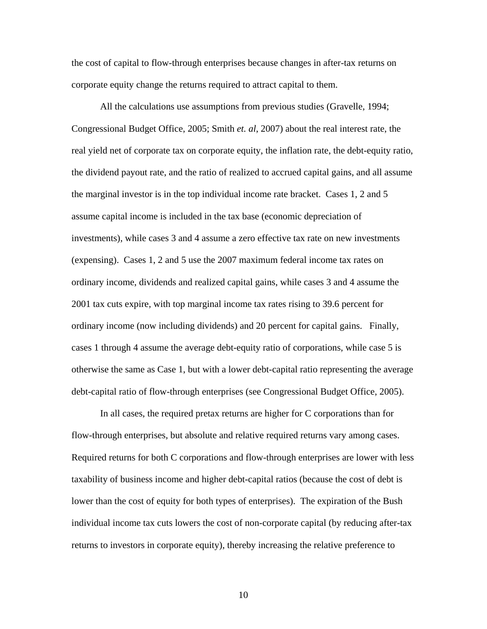the cost of capital to flow-through enterprises because changes in after-tax returns on corporate equity change the returns required to attract capital to them.

All the calculations use assumptions from previous studies (Gravelle, 1994; Congressional Budget Office, 2005; Smith *et. al*, 2007) about the real interest rate, the real yield net of corporate tax on corporate equity, the inflation rate, the debt-equity ratio, the dividend payout rate, and the ratio of realized to accrued capital gains, and all assume the marginal investor is in the top individual income rate bracket. Cases 1, 2 and 5 assume capital income is included in the tax base (economic depreciation of investments), while cases 3 and 4 assume a zero effective tax rate on new investments (expensing). Cases 1, 2 and 5 use the 2007 maximum federal income tax rates on ordinary income, dividends and realized capital gains, while cases 3 and 4 assume the 2001 tax cuts expire, with top marginal income tax rates rising to 39.6 percent for ordinary income (now including dividends) and 20 percent for capital gains. Finally, cases 1 through 4 assume the average debt-equity ratio of corporations, while case 5 is otherwise the same as Case 1, but with a lower debt-capital ratio representing the average debt-capital ratio of flow-through enterprises (see Congressional Budget Office, 2005).

In all cases, the required pretax returns are higher for C corporations than for flow-through enterprises, but absolute and relative required returns vary among cases. Required returns for both C corporations and flow-through enterprises are lower with less taxability of business income and higher debt-capital ratios (because the cost of debt is lower than the cost of equity for both types of enterprises). The expiration of the Bush individual income tax cuts lowers the cost of non-corporate capital (by reducing after-tax returns to investors in corporate equity), thereby increasing the relative preference to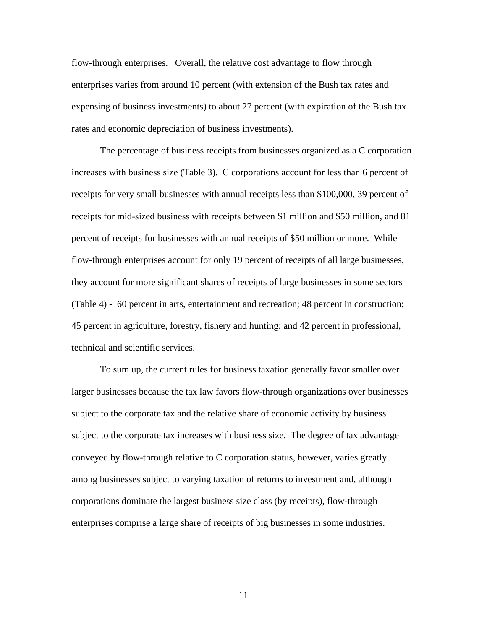flow-through enterprises. Overall, the relative cost advantage to flow through enterprises varies from around 10 percent (with extension of the Bush tax rates and expensing of business investments) to about 27 percent (with expiration of the Bush tax rates and economic depreciation of business investments).

 The percentage of business receipts from businesses organized as a C corporation increases with business size (Table 3). C corporations account for less than 6 percent of receipts for very small businesses with annual receipts less than \$100,000, 39 percent of receipts for mid-sized business with receipts between \$1 million and \$50 million, and 81 percent of receipts for businesses with annual receipts of \$50 million or more. While flow-through enterprises account for only 19 percent of receipts of all large businesses, they account for more significant shares of receipts of large businesses in some sectors (Table 4) - 60 percent in arts, entertainment and recreation; 48 percent in construction; 45 percent in agriculture, forestry, fishery and hunting; and 42 percent in professional, technical and scientific services.

 To sum up, the current rules for business taxation generally favor smaller over larger businesses because the tax law favors flow-through organizations over businesses subject to the corporate tax and the relative share of economic activity by business subject to the corporate tax increases with business size. The degree of tax advantage conveyed by flow-through relative to C corporation status, however, varies greatly among businesses subject to varying taxation of returns to investment and, although corporations dominate the largest business size class (by receipts), flow-through enterprises comprise a large share of receipts of big businesses in some industries.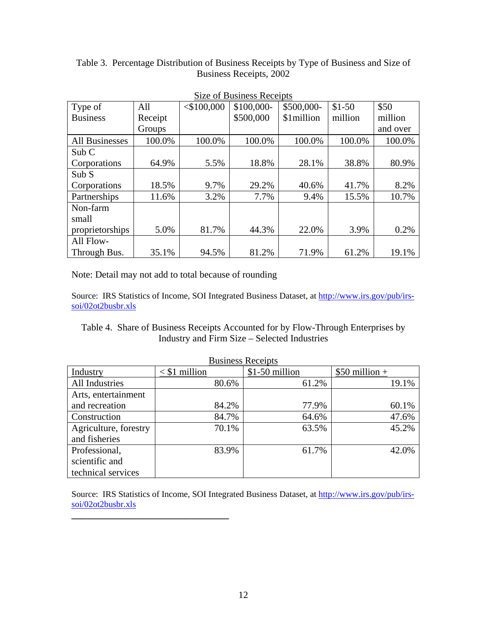| Size of Business Receipts |         |               |            |            |         |          |
|---------------------------|---------|---------------|------------|------------|---------|----------|
| Type of                   | All     | $<$ \$100,000 | \$100,000- | \$500,000- | $$1-50$ | \$50     |
| <b>Business</b>           | Receipt |               | \$500,000  | \$1million | million | million  |
|                           | Groups  |               |            |            |         | and over |
| <b>All Businesses</b>     | 100.0%  | 100.0%        | 100.0%     | 100.0%     | 100.0%  | 100.0%   |
| Sub C                     |         |               |            |            |         |          |
| Corporations              | 64.9%   | 5.5%          | 18.8%      | 28.1%      | 38.8%   | 80.9%    |
| Sub S                     |         |               |            |            |         |          |
| Corporations              | 18.5%   | 9.7%          | 29.2%      | 40.6%      | 41.7%   | 8.2%     |
| Partnerships              | 11.6%   | 3.2%          | 7.7%       | 9.4%       | 15.5%   | 10.7%    |
| Non-farm                  |         |               |            |            |         |          |
| small                     |         |               |            |            |         |          |
| proprietorships           | 5.0%    | 81.7%         | 44.3%      | 22.0%      | 3.9%    | 0.2%     |
| All Flow-                 |         |               |            |            |         |          |
| Through Bus.              | 35.1%   | 94.5%         | 81.2%      | 71.9%      | 61.2%   | 19.1%    |

Table 3. Percentage Distribution of Business Receipts by Type of Business and Size of Business Receipts, 2002

Note: Detail may not add to total because of rounding

**\_\_\_\_\_\_\_\_\_\_\_\_\_\_\_\_\_\_\_\_\_\_\_\_\_\_\_\_\_\_\_\_\_** 

Source: IRS Statistics of Income, SOI Integrated Business Dataset, at [http://www.irs.gov/pub/irs](http://www.irs.gov/pub/irs-soi/02ot2busbr.xls)[soi/02ot2busbr.xls](http://www.irs.gov/pub/irs-soi/02ot2busbr.xls)

Table 4. Share of Business Receipts Accounted for by Flow-Through Enterprises by Industry and Firm Size – Selected Industries

| <b>Business Receipts</b> |                 |                |                 |  |  |
|--------------------------|-----------------|----------------|-----------------|--|--|
| Industry                 | $<$ \$1 million | \$1-50 million | $$50$ million + |  |  |
| All Industries           | 80.6%           | 61.2%          | 19.1%           |  |  |
| Arts, entertainment      |                 |                |                 |  |  |
| and recreation           | 84.2%           | 77.9%          | 60.1%           |  |  |
| Construction             | 84.7%           | 64.6%          | 47.6%           |  |  |
| Agriculture, forestry    | 70.1%           | 63.5%          | 45.2%           |  |  |
| and fisheries            |                 |                |                 |  |  |
| Professional,            | 83.9%           | 61.7%          | 42.0%           |  |  |
| scientific and           |                 |                |                 |  |  |
| technical services       |                 |                |                 |  |  |

Source: IRS Statistics of Income, SOI Integrated Business Dataset, at [http://www.irs.gov/pub/irs](http://www.irs.gov/pub/irs-soi/02ot2busbr.xls)[soi/02ot2busbr.xls](http://www.irs.gov/pub/irs-soi/02ot2busbr.xls)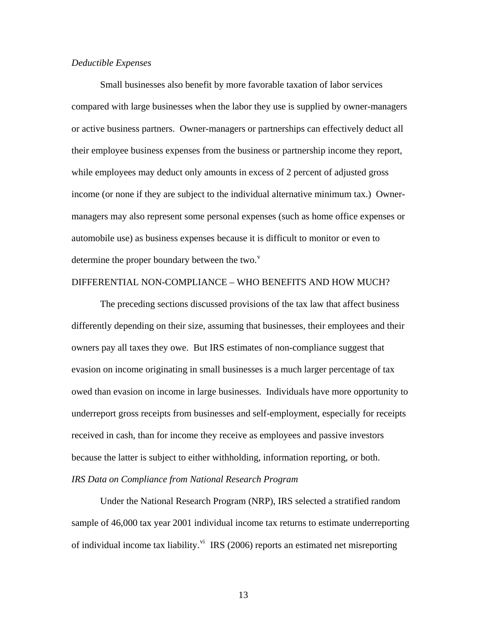### *Deductible Expenses*

 Small businesses also benefit by more favorable taxation of labor services compared with large businesses when the labor they use is supplied by owner-managers or active business partners. Owner-managers or partnerships can effectively deduct all their employee business expenses from the business or partnership income they report, while employees may deduct only amounts in excess of 2 percent of adjusted gross income (or none if they are subject to the individual alternative minimum tax.) Ownermanagers may also represent some personal expenses (such as home office expenses or automobile use) as business expenses because it is difficult to monitor or even to determine the proper boundary between the two. $v^{\text{v}}$  $v^{\text{v}}$ 

#### DIFFERENTIAL NON-COMPLIANCE – WHO BENEFITS AND HOW MUCH?

 The preceding sections discussed provisions of the tax law that affect business differently depending on their size, assuming that businesses, their employees and their owners pay all taxes they owe. But IRS estimates of non-compliance suggest that evasion on income originating in small businesses is a much larger percentage of tax owed than evasion on income in large businesses. Individuals have more opportunity to underreport gross receipts from businesses and self-employment, especially for receipts received in cash, than for income they receive as employees and passive investors because the latter is subject to either withholding, information reporting, or both. *IRS Data on Compliance from National Research Program* 

 Under the National Research Program (NRP), IRS selected a stratified random sample of 46,000 tax year 2001 individual income tax returns to estimate underreporting of indi[vi](#page-19-0)dual income tax liability.<sup>vi</sup> IRS (2006) reports an estimated net misreporting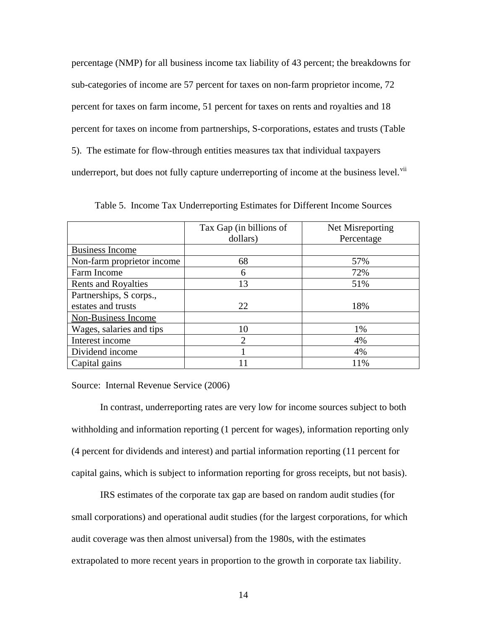percentage (NMP) for all business income tax liability of 43 percent; the breakdowns for sub-categories of income are 57 percent for taxes on non-farm proprietor income, 72 percent for taxes on farm income, 51 percent for taxes on rents and royalties and 18 percent for taxes on income from partnerships, S-corporations, estates and trusts (Table 5). The estimate for flow-through entities measures tax that individual taxpayers underreport, but does not fully capture underreporting of income at the business level.<sup>[vii](#page-19-0)</sup>

|                            | Tax Gap (in billions of     | Net Misreporting |
|----------------------------|-----------------------------|------------------|
|                            | dollars)                    | Percentage       |
| <b>Business Income</b>     |                             |                  |
| Non-farm proprietor income | 68                          | 57%              |
| Farm Income                | 6                           | 72%              |
| <b>Rents and Royalties</b> | 13                          | 51%              |
| Partnerships, S corps.,    |                             |                  |
| estates and trusts         | 22                          | 18%              |
| Non-Business Income        |                             |                  |
| Wages, salaries and tips   | 10                          | 1%               |
| Interest income            | $\mathcal{D}_{\mathcal{A}}$ | 4%               |
| Dividend income            |                             | 4%               |
| Capital gains              |                             | 11%              |

Table 5. Income Tax Underreporting Estimates for Different Income Sources

Source: Internal Revenue Service (2006)

 In contrast, underreporting rates are very low for income sources subject to both withholding and information reporting (1 percent for wages), information reporting only (4 percent for dividends and interest) and partial information reporting (11 percent for capital gains, which is subject to information reporting for gross receipts, but not basis).

 IRS estimates of the corporate tax gap are based on random audit studies (for small corporations) and operational audit studies (for the largest corporations, for which audit coverage was then almost universal) from the 1980s, with the estimates extrapolated to more recent years in proportion to the growth in corporate tax liability.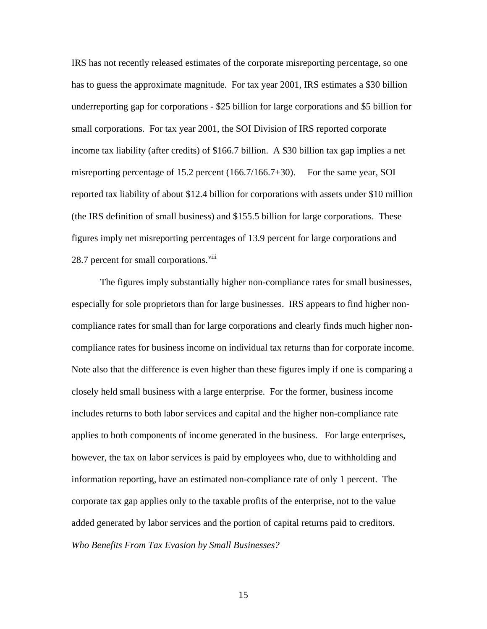IRS has not recently released estimates of the corporate misreporting percentage, so one has to guess the approximate magnitude. For tax year 2001, IRS estimates a \$30 billion underreporting gap for corporations - \$25 billion for large corporations and \$5 billion for small corporations. For tax year 2001, the SOI Division of IRS reported corporate income tax liability (after credits) of \$166.7 billion. A \$30 billion tax gap implies a net misreporting percentage of 15.2 percent (166.7/166.7+30). For the same year, SOI reported tax liability of about \$12.4 billion for corporations with assets under \$10 million (the IRS definition of small business) and \$155.5 billion for large corporations. These figures imply net misreporting percentages of 13.9 percent for large corporations and 28.7 percent for small corporations.<sup>[viii](#page-19-0)</sup>

 The figures imply substantially higher non-compliance rates for small businesses, especially for sole proprietors than for large businesses. IRS appears to find higher noncompliance rates for small than for large corporations and clearly finds much higher noncompliance rates for business income on individual tax returns than for corporate income. Note also that the difference is even higher than these figures imply if one is comparing a closely held small business with a large enterprise. For the former, business income includes returns to both labor services and capital and the higher non-compliance rate applies to both components of income generated in the business. For large enterprises, however, the tax on labor services is paid by employees who, due to withholding and information reporting, have an estimated non-compliance rate of only 1 percent. The corporate tax gap applies only to the taxable profits of the enterprise, not to the value added generated by labor services and the portion of capital returns paid to creditors. *Who Benefits From Tax Evasion by Small Businesses?*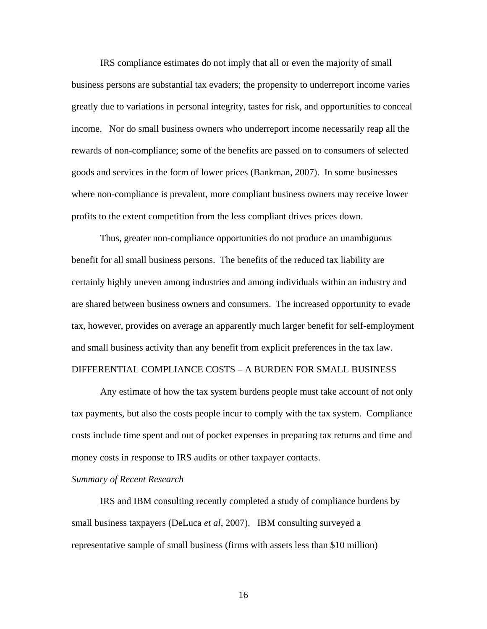IRS compliance estimates do not imply that all or even the majority of small business persons are substantial tax evaders; the propensity to underreport income varies greatly due to variations in personal integrity, tastes for risk, and opportunities to conceal income. Nor do small business owners who underreport income necessarily reap all the rewards of non-compliance; some of the benefits are passed on to consumers of selected goods and services in the form of lower prices (Bankman, 2007). In some businesses where non-compliance is prevalent, more compliant business owners may receive lower profits to the extent competition from the less compliant drives prices down.

 Thus, greater non-compliance opportunities do not produce an unambiguous benefit for all small business persons. The benefits of the reduced tax liability are certainly highly uneven among industries and among individuals within an industry and are shared between business owners and consumers. The increased opportunity to evade tax, however, provides on average an apparently much larger benefit for self-employment and small business activity than any benefit from explicit preferences in the tax law.

## DIFFERENTIAL COMPLIANCE COSTS – A BURDEN FOR SMALL BUSINESS

 Any estimate of how the tax system burdens people must take account of not only tax payments, but also the costs people incur to comply with the tax system. Compliance costs include time spent and out of pocket expenses in preparing tax returns and time and money costs in response to IRS audits or other taxpayer contacts.

#### *Summary of Recent Research*

 IRS and IBM consulting recently completed a study of compliance burdens by small business taxpayers (DeLuca *et al*, 2007). IBM consulting surveyed a representative sample of small business (firms with assets less than \$10 million)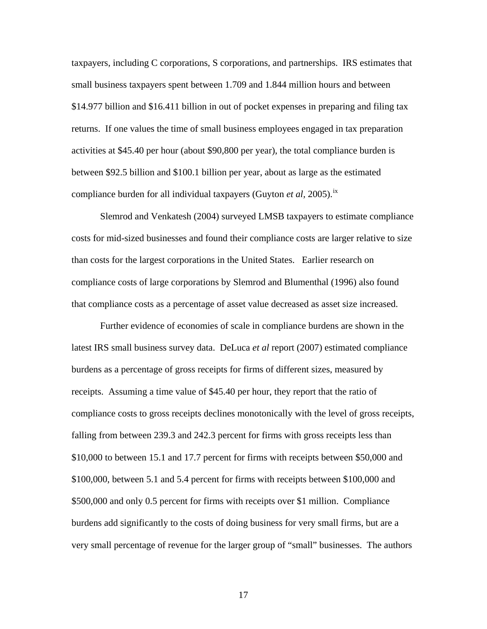taxpayers, including C corporations, S corporations, and partnerships. IRS estimates that small business taxpayers spent between 1.709 and 1.844 million hours and between \$14.977 billion and \$16.411 billion in out of pocket expenses in preparing and filing tax returns. If one values the time of small business employees engaged in tax preparation activities at \$45.40 per hour (about \$90,800 per year), the total compliance burden is between \$92.5 billion and \$100.1 billion per year, about as large as the estimated compliance burden for all individual taxpayers (Guyton *et al*, 2005).<sup>[ix](#page-19-0)</sup>

 Slemrod and Venkatesh (2004) surveyed LMSB taxpayers to estimate compliance costs for mid-sized businesses and found their compliance costs are larger relative to size than costs for the largest corporations in the United States. Earlier research on compliance costs of large corporations by Slemrod and Blumenthal (1996) also found that compliance costs as a percentage of asset value decreased as asset size increased.

 Further evidence of economies of scale in compliance burdens are shown in the latest IRS small business survey data. DeLuca *et al* report (2007) estimated compliance burdens as a percentage of gross receipts for firms of different sizes, measured by receipts. Assuming a time value of \$45.40 per hour, they report that the ratio of compliance costs to gross receipts declines monotonically with the level of gross receipts, falling from between 239.3 and 242.3 percent for firms with gross receipts less than \$10,000 to between 15.1 and 17.7 percent for firms with receipts between \$50,000 and \$100,000, between 5.1 and 5.4 percent for firms with receipts between \$100,000 and \$500,000 and only 0.5 percent for firms with receipts over \$1 million. Compliance burdens add significantly to the costs of doing business for very small firms, but are a very small percentage of revenue for the larger group of "small" businesses. The authors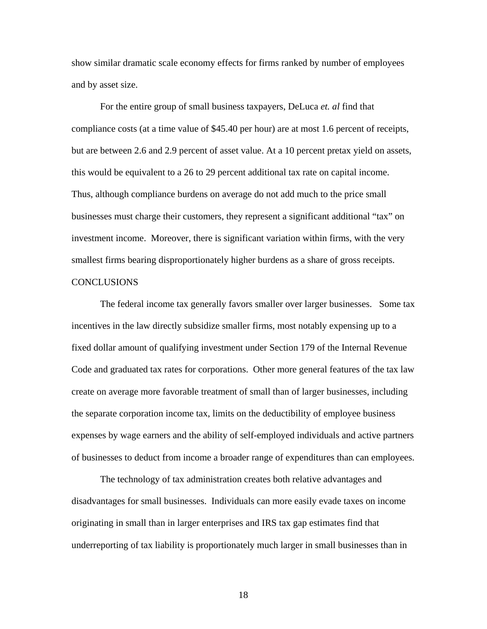show similar dramatic scale economy effects for firms ranked by number of employees and by asset size.

For the entire group of small business taxpayers, DeLuca *et. al* find that compliance costs (at a time value of \$45.40 per hour) are at most 1.6 percent of receipts, but are between 2.6 and 2.9 percent of asset value. At a 10 percent pretax yield on assets, this would be equivalent to a 26 to 29 percent additional tax rate on capital income. Thus, although compliance burdens on average do not add much to the price small businesses must charge their customers, they represent a significant additional "tax" on investment income. Moreover, there is significant variation within firms, with the very smallest firms bearing disproportionately higher burdens as a share of gross receipts. **CONCLUSIONS** 

 The federal income tax generally favors smaller over larger businesses. Some tax incentives in the law directly subsidize smaller firms, most notably expensing up to a fixed dollar amount of qualifying investment under Section 179 of the Internal Revenue Code and graduated tax rates for corporations. Other more general features of the tax law create on average more favorable treatment of small than of larger businesses, including the separate corporation income tax, limits on the deductibility of employee business expenses by wage earners and the ability of self-employed individuals and active partners of businesses to deduct from income a broader range of expenditures than can employees.

 The technology of tax administration creates both relative advantages and disadvantages for small businesses. Individuals can more easily evade taxes on income originating in small than in larger enterprises and IRS tax gap estimates find that underreporting of tax liability is proportionately much larger in small businesses than in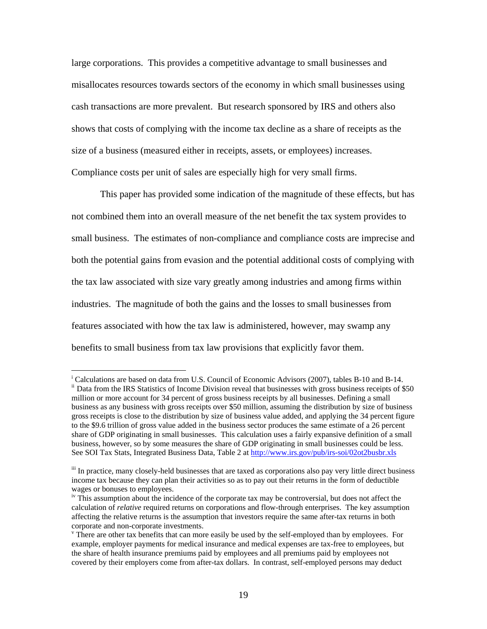<span id="page-18-1"></span>large corporations. This provides a competitive advantage to small businesses and misallocates resources towards sectors of the economy in which small businesses using cash transactions are more prevalent. But research sponsored by IRS and others also shows that costs of complying with the income tax decline as a share of receipts as the size of a business (measured either in receipts, assets, or employees) increases. Compliance costs per unit of sales are especially high for very small firms.

<span id="page-18-2"></span> This paper has provided some indication of the magnitude of these effects, but has not combined them into an overall measure of the net benefit the tax system provides to small business. The estimates of non-compliance and compliance costs are imprecise and both the potential gains from evasion and the potential additional costs of complying with the tax law associated with size vary greatly among industries and among firms within industries. The magnitude of both the gains and the losses to small businesses from features associated with how the tax law is administered, however, may swamp any benefits to small business from tax law provisions that explicitly favor them.

 $\overline{a}$ 

<span id="page-18-0"></span><sup>&</sup>lt;sup>i</sup> Calculations are based on data from U.S. Council of Economic Advisors (2007), tables B-10 and B-14. ii Data from the IRS Statistics of Income Division reveal that businesses with gross business receipts of \$50 million or more account for 34 percent of gross business receipts by all businesses. Defining a small business as any business with gross receipts over \$50 million, assuming the distribution by size of business gross receipts is close to the distribution by size of business value added, and applying the 34 percent figure to the \$9.6 trillion of gross value added in the business sector produces the same estimate of a 26 percent share of GDP originating in small businesses. This calculation uses a fairly expansive definition of a small business, however, so by some measures the share of GDP originating in small businesses could be less. See SOI Tax Stats, Integrated Business Data, Table 2 at<http://www.irs.gov/pub/irs-soi/02ot2busbr.xls>

iii In practice, many closely-held businesses that are taxed as corporations also pay very little direct business income tax because they can plan their activities so as to pay out their returns in the form of deductible wages or bonuses to employees.

iv This assumption about the incidence of the corporate tax may be controversial, but does not affect the calculation of *relative* required returns on corporations and flow-through enterprises. The key assumption affecting the relative returns is the assumption that investors require the same after-tax returns in both corporate and non-corporate investments.

<sup>&</sup>lt;sup>v</sup> There are other tax benefits that can more easily be used by the self-employed than by employees. For example, employer payments for medical insurance and medical expenses are tax-free to employees, but the share of health insurance premiums paid by employees and all premiums paid by employees not covered by their employers come from after-tax dollars. In contrast, self-employed persons may deduct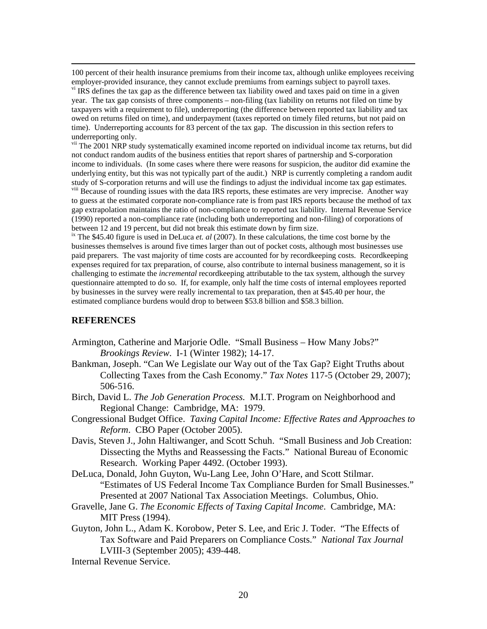100 percent of their health insurance premiums from their income tax, although unlike employees receiving employer-provided insurance, they cannot exclude premiums from earnings subject to payroll taxes.

<sup>vi</sup> IRS defines the tax gap as the difference between tax liability owed and taxes paid on time in a given year. The tax gap consists of three components – non-filing (tax liability on returns not filed on time by taxpayers with a requirement to file), underreporting (the difference between reported tax liability and tax owed on returns filed on time), and underpayment (taxes reported on timely filed returns, but not paid on time). Underreporting accounts for 83 percent of the tax gap. The discussion in this section refers to underreporting only.

<span id="page-19-0"></span><sup>vii</sup> The 2001 NRP study systematically examined income reported on individual income tax returns, but did not conduct random audits of the business entities that report shares of partnership and S-corporation income to individuals. (In some cases where there were reasons for suspicion, the auditor did examine the underlying entity, but this was not typically part of the audit.) NRP is currently completing a random audit study of S-corporation returns and will use the findings to adjust the individual income tax gap estimates.

<sup>viii</sup> Because of rounding issues with the data IRS reports, these estimates are very imprecise. Another way to guess at the estimated corporate non-compliance rate is from past IRS reports because the method of tax gap extrapolation maintains the ratio of non-compliance to reported tax liability. Internal Revenue Service (1990) reported a non-compliance rate (including both underreporting and non-filing) of corporations of between 12 and 19 percent, but did not break this estimate down by firm size.

ix The \$45.40 figure is used in DeLuca *et. al* (2007). In these calculations, the time cost borne by the businesses themselves is around five times larger than out of pocket costs, although most businesses use paid preparers. The vast majority of time costs are accounted for by recordkeeping costs. Recordkeeping expenses required for tax preparation, of course, also contribute to internal business management, so it is challenging to estimate the *incremental* recordkeeping attributable to the tax system, although the survey questionnaire attempted to do so. If, for example, only half the time costs of internal employees reported by businesses in the survey were really incremental to tax preparation, then at \$45.40 per hour, the estimated compliance burdens would drop to between \$53.8 billion and \$58.3 billion.

## **REFERENCES**

- Armington, Catherine and Marjorie Odle. "Small Business How Many Jobs?" *Brookings Review*. I-1 (Winter 1982); 14-17.
- Bankman, Joseph. "Can We Legislate our Way out of the Tax Gap? Eight Truths about Collecting Taxes from the Cash Economy." *Tax Notes* 117-5 (October 29, 2007); 506-516.
- Birch, David L. *The Job Generation Process.* M.I.T. Program on Neighborhood and Regional Change: Cambridge, MA: 1979.
- Congressional Budget Office. *Taxing Capital Income: Effective Rates and Approaches to Reform*. CBO Paper (October 2005).
- Davis, Steven J., John Haltiwanger, and Scott Schuh. "Small Business and Job Creation: Dissecting the Myths and Reassessing the Facts." National Bureau of Economic Research. Working Paper 4492. (October 1993).
- DeLuca, Donald, John Guyton, Wu-Lang Lee, John O'Hare, and Scott Stilmar. "Estimates of US Federal Income Tax Compliance Burden for Small Businesses." Presented at 2007 National Tax Association Meetings. Columbus, Ohio.
- Gravelle, Jane G. *The Economic Effects of Taxing Capital Income*. Cambridge, MA: MIT Press (1994).
- Guyton, John L., Adam K. Korobow, Peter S. Lee, and Eric J. Toder. "The Effects of Tax Software and Paid Preparers on Compliance Costs." *National Tax Journal*  LVIII-3 (September 2005); 439-448.

Internal Revenue Service.